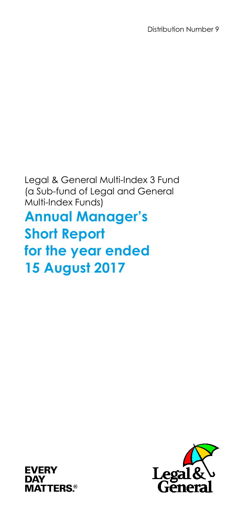Legal & General Multi-Index 3 Fund (a Sub-fund of Legal and General Multi-Index Funds) **Annual Manager's Short Report for the year ended 15 August 2017**



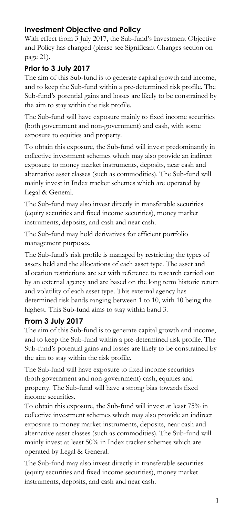# **Investment Objective and Policy**

With effect from 3 July 2017, the Sub-fund's Investment Objective and Policy has changed (please see Significant Changes section on page 21).

# **Prior to 3 July 2017**

The aim of this Sub-fund is to generate capital growth and income, and to keep the Sub-fund within a pre-determined risk profile. The Sub-fund's potential gains and losses are likely to be constrained by the aim to stay within the risk profile.

The Sub-fund will have exposure mainly to fixed income securities (both government and non-government) and cash, with some exposure to equities and property.

To obtain this exposure, the Sub-fund will invest predominantly in collective investment schemes which may also provide an indirect exposure to money market instruments, deposits, near cash and alternative asset classes (such as commodities). The Sub-fund will mainly invest in Index tracker schemes which are operated by Legal & General.

The Sub-fund may also invest directly in transferable securities (equity securities and fixed income securities), money market instruments, deposits, and cash and near cash.

The Sub-fund may hold derivatives for efficient portfolio management purposes.

The Sub-fund's risk profile is managed by restricting the types of assets held and the allocations of each asset type. The asset and allocation restrictions are set with reference to research carried out by an external agency and are based on the long term historic return and volatility of each asset type. This external agency has determined risk bands ranging between 1 to 10, with 10 being the highest. This Sub-fund aims to stay within band 3.

# **From 3 July 2017**

The aim of this Sub-fund is to generate capital growth and income, and to keep the Sub-fund within a pre-determined risk profile. The Sub-fund's potential gains and losses are likely to be constrained by the aim to stay within the risk profile.

The Sub-fund will have exposure to fixed income securities (both government and non-government) cash, equities and property. The Sub-fund will have a strong bias towards fixed income securities.

To obtain this exposure, the Sub-fund will invest at least 75% in collective investment schemes which may also provide an indirect exposure to money market instruments, deposits, near cash and alternative asset classes (such as commodities). The Sub-fund will mainly invest at least 50% in Index tracker schemes which are operated by Legal & General.

The Sub-fund may also invest directly in transferable securities (equity securities and fixed income securities), money market instruments, deposits, and cash and near cash.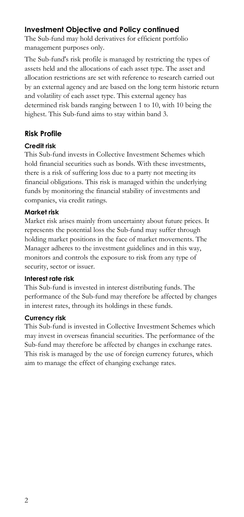# **Investment Objective and Policy continued**

The Sub-fund may hold derivatives for efficient portfolio management purposes only.

The Sub-fund's risk profile is managed by restricting the types of assets held and the allocations of each asset type. The asset and allocation restrictions are set with reference to research carried out by an external agency and are based on the long term historic return and volatility of each asset type. This external agency has determined risk bands ranging between 1 to 10, with 10 being the highest. This Sub-fund aims to stay within band 3.

### **Risk Profile**

### **Credit risk**

This Sub-fund invests in Collective Investment Schemes which hold financial securities such as bonds. With these investments, there is a risk of suffering loss due to a party not meeting its financial obligations. This risk is managed within the underlying funds by monitoring the financial stability of investments and companies, via credit ratings.

#### **Market risk**

Market risk arises mainly from uncertainty about future prices. It represents the potential loss the Sub-fund may suffer through holding market positions in the face of market movements. The Manager adheres to the investment guidelines and in this way, monitors and controls the exposure to risk from any type of security, sector or issuer.

#### **Interest rate risk**

This Sub-fund is invested in interest distributing funds. The performance of the Sub-fund may therefore be affected by changes in interest rates, through its holdings in these funds.

#### **Currency risk**

This Sub-fund is invested in Collective Investment Schemes which may invest in overseas financial securities. The performance of the Sub-fund may therefore be affected by changes in exchange rates. This risk is managed by the use of foreign currency futures, which aim to manage the effect of changing exchange rates.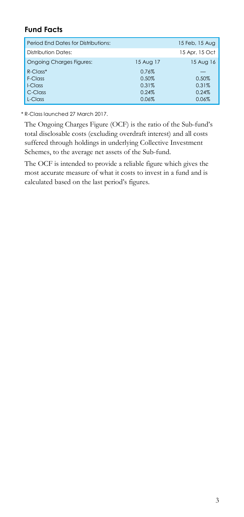# **Fund Facts**

| <b>Period Fnd Dates for Distributions:</b> |           | 15 Feb, 15 Aug |
|--------------------------------------------|-----------|----------------|
| Distribution Dates:                        |           | 15 Apr, 15 Oct |
| <b>Ongoing Charges Figures:</b>            | 15 Aug 17 | 15 Aug 16      |
| $R$ -Class*                                | 0.76%     |                |
| F-Class                                    | 0.50%     | 0.50%          |
| I-Class                                    | 0.31%     | 0.31%          |
| C-Class                                    | 0.24%     | 0.24%          |
| L-Class                                    | 0.06%     | 0.06%          |

\* R-Class launched 27 March 2017.

The Ongoing Charges Figure (OCF) is the ratio of the Sub-fund's total disclosable costs (excluding overdraft interest) and all costs suffered through holdings in underlying Collective Investment Schemes, to the average net assets of the Sub-fund.

The OCF is intended to provide a reliable figure which gives the most accurate measure of what it costs to invest in a fund and is calculated based on the last period's figures.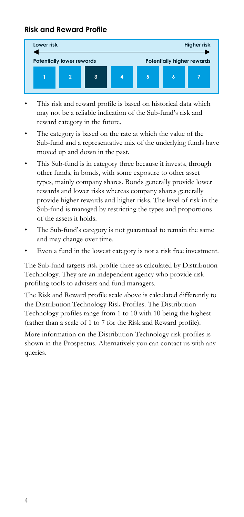### **Risk and Reward Profile**



- This risk and reward profile is based on historical data which may not be a reliable indication of the Sub-fund's risk and reward category in the future.
- The category is based on the rate at which the value of the Sub-fund and a representative mix of the underlying funds have moved up and down in the past.
- This Sub-fund is in category three because it invests, through other funds, in bonds, with some exposure to other asset types, mainly company shares. Bonds generally provide lower rewards and lower risks whereas company shares generally provide higher rewards and higher risks. The level of risk in the Sub-fund is managed by restricting the types and proportions of the assets it holds.
- The Sub-fund's category is not guaranteed to remain the same and may change over time.
- Even a fund in the lowest category is not a risk free investment.

The Sub-fund targets risk profile three as calculated by Distribution Technology. They are an independent agency who provide risk profiling tools to advisers and fund managers.

The Risk and Reward profile scale above is calculated differently to the Distribution Technology Risk Profiles. The Distribution Technology profiles range from 1 to 10 with 10 being the highest (rather than a scale of 1 to 7 for the Risk and Reward profile).

More information on the Distribution Technology risk profiles is shown in the Prospectus. Alternatively you can contact us with any queries.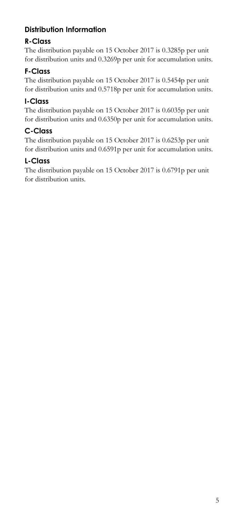# **Distribution Information**

# **R-Class**

The distribution payable on 15 October 2017 is 0.3285p per unit for distribution units and 0.3269p per unit for accumulation units.

# **F-Class**

The distribution payable on 15 October 2017 is 0.5454p per unit for distribution units and 0.5718p per unit for accumulation units.

# **I-Class**

The distribution payable on 15 October 2017 is 0.6035p per unit for distribution units and 0.6350p per unit for accumulation units.

# **C-Class**

The distribution payable on 15 October 2017 is 0.6253p per unit for distribution units and 0.6591p per unit for accumulation units.

# **L-Class**

The distribution payable on 15 October 2017 is 0.6791p per unit for distribution units.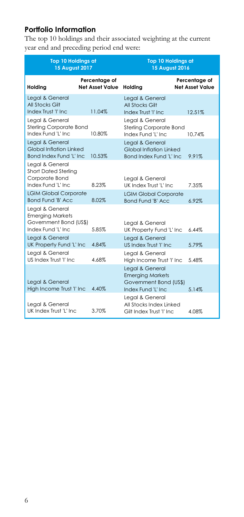# **Portfolio Information**

The top 10 holdings and their associated weighting at the current year end and preceding period end were:

| <b>Top 10 Holdings at</b><br><b>15 August 2017</b>                                          |                                         | <b>Top 10 Holdings at</b><br><b>15 August 2016</b>                                          |                                         |
|---------------------------------------------------------------------------------------------|-----------------------------------------|---------------------------------------------------------------------------------------------|-----------------------------------------|
| Holding                                                                                     | Percentage of<br><b>Net Asset Value</b> | Holdina                                                                                     | Percentage of<br><b>Net Asset Value</b> |
| Legal & General<br>All Stocks Gilt<br>Index Trust 'I' Inc.                                  | 11.04%                                  | Legal & General<br>All Stocks Gilt<br>Index Trust 'I' Inc.                                  | 12.51%                                  |
| Legal & General<br><b>Sterling Corporate Bond</b><br>Index Fund 'I' Inc.                    | 10.80%                                  | Legal & General<br><b>Sterling Corporate Bond</b><br>Index Fund 'I' Inc.                    | 10.74%                                  |
| Legal & General<br>Global Inflation Linked<br>Bond Index Fund 'I' Inc.                      | 10.53%                                  | Legal & General<br>Global Inflation Linked<br>Bond Index Fund 'I' Inc.                      | 9.91%                                   |
| Legal & General<br><b>Short Dated Sterling</b><br>Corporate Bond<br>Index Fund 'I' Inc.     | 8.23%                                   | Legal & General<br>UK Index Trust 'I' Inc.                                                  | 7.35%                                   |
| <b>LGIM Global Corporate</b><br>Bond Fund 'B' Acc                                           | 8.02%                                   | <b>LGIM Global Corporate</b><br>Bond Fund 'B' Acc                                           | 6.92%                                   |
| Legal & General<br><b>Emerging Markets</b><br>Government Bond (US\$)<br>Index Fund 'I' Inc. | 5.85%                                   | Legal & General<br>UK Property Fund 'L' Inc                                                 | 6.44%                                   |
| Legal & General<br>UK Property Fund 'L' Inc                                                 | 4.84%                                   | Legal & General<br>US Index Trust 'I' Inc.                                                  | 5.79%                                   |
| Legal & General<br>US Index Trust 'I' Inc.                                                  | 4.68%                                   | Legal & General<br>High Income Trust 'I' Inc                                                | 5.48%                                   |
| Legal & General<br>High Income Trust 'I' Inc                                                | 4.40%                                   | Legal & General<br><b>Emerging Markets</b><br>Government Bond (US\$)<br>Index Fund 'I' Inc. | 5.14%                                   |
| Legal & General<br>UK Index Trust 'L' Inc                                                   | 3.70%                                   | Legal & General<br>All Stocks Index Linked<br>Gilt Index Trust 'I' Inc.                     | 4.08%                                   |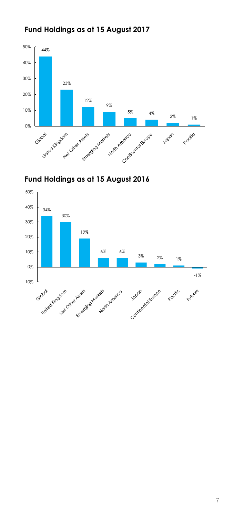

# **Fund Holdings as at 15 August 2017**



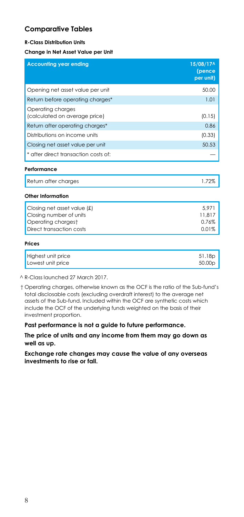### **Comparative Tables**

#### **R-Class Distribution Units**

#### **Change in Net Asset Value per Unit**

| <b>Accounting year ending</b>                      | 15/08/17^<br>(pence<br>per unit) |
|----------------------------------------------------|----------------------------------|
| Opening net asset value per unit                   | 50.00                            |
| Return before operating charges*                   | 1.01                             |
| Operating charges<br>(calculated on average price) | (0.15)                           |
| Return after operating charges*                    | 0.86                             |
| Distributions on income units                      | (0.33)                           |
| Closing net asset value per unit                   | 50.53                            |
| * after direct transaction costs of:               |                                  |

#### **Performance**

| Return after charges<br>1.72% |  |
|-------------------------------|--|
|-------------------------------|--|

#### **Other Information**

| Closing net asset value (£) | 5.971  |
|-----------------------------|--------|
| Closing number of units     | 11.817 |
| Operating chargest          | 0.76%  |
| Direct transaction costs    | 0.01%  |

#### **Prices**

| Highest unit price | 51.18p             |
|--------------------|--------------------|
| Lowest unit price  | 50.00 <sub>p</sub> |
|                    |                    |

^ R-Class launched 27 March 2017.

† Operating charges, otherwise known as the OCF is the ratio of the Sub-fund's total disclosable costs (excluding overdraft interest) to the average net assets of the Sub-fund. Included within the OCF are synthetic costs which include the OCF of the underlying funds weighted on the basis of their investment proportion.

**Past performance is not a guide to future performance.**

**The price of units and any income from them may go down as well as up.**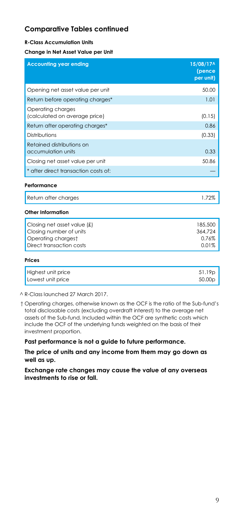#### **R-Class Accumulation Units**

#### **Change in Net Asset Value per Unit**

| <b>Accounting year ending</b>                      | 15/08/17^<br>(pence<br>per unit) |
|----------------------------------------------------|----------------------------------|
| Opening net asset value per unit                   | 50.00                            |
| Return before operating charges*                   | 1.01                             |
| Operating charges<br>(calculated on average price) | (0.15)                           |
| Return after operating charges*                    | 0.86                             |
| Distributions                                      | (0.33)                           |
| Retained distributions on<br>accumulation units    | 0.33                             |
| Closing net asset value per unit                   | 50.86                            |
| * after direct transaction costs of:               |                                  |

#### **Performance**

Return after charges 1.72%

#### **Other Information**

| Closing net asset value (£) | 185,500 |
|-----------------------------|---------|
| Closing number of units     | 364,724 |
| Operating chargest          | 0.76%   |
| Direct transaction costs    | 0.01%   |

#### **Prices**

| Highest unit price | 51.19 <sub>D</sub> |
|--------------------|--------------------|
| Lowest unit price  | 50.00 <sub>p</sub> |

^ R-Class launched 27 March 2017.

† Operating charges, otherwise known as the OCF is the ratio of the Sub-fund's total disclosable costs (excluding overdraft interest) to the average net assets of the Sub-fund. Included within the OCF are synthetic costs which include the OCF of the underlying funds weighted on the basis of their investment proportion.

**Past performance is not a guide to future performance.**

**The price of units and any income from them may go down as well as up.**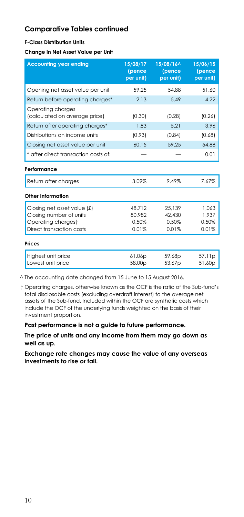#### **F-Class Distribution Units**

**Change in Net Asset Value per Unit**

| <b>Accounting year ending</b>                      | 15/08/17<br>(pence<br>per unit) | 15/08/16<br>(pence<br>per unit) | 15/06/15<br>(pence<br>per unit) |
|----------------------------------------------------|---------------------------------|---------------------------------|---------------------------------|
| Opening net asset value per unit                   | 59.25                           | 54.88                           | 51.60                           |
| Return before operating charges*                   | 2.13                            | 5.49                            | 4.22                            |
| Operating charges<br>(calculated on average price) | (0.30)                          | (0.28)                          | (0.26)                          |
| Return after operating charges*                    | 1.83                            | 5.21                            | 3.96                            |
| Distributions on income units                      | (0.93)                          | (0.84)                          | (0.68)                          |
| Closing net asset value per unit                   | 60.15                           | 59.25                           | 54.88                           |
| * after direct transaction costs of:               |                                 |                                 | 0.01                            |
| Performance                                        |                                 |                                 |                                 |
| Return after charges                               | 3.09%                           | 9.49%                           | 7.67%                           |
| Other Information                                  |                                 |                                 |                                 |
| Closing net asset value (£)                        | 48,712                          | 25.139                          | 1.063                           |
| Closing number of units                            | 80.982                          | 42,430                          | 1.937                           |
| Operating chargest<br>Direct transaction costs     | 0.50%<br>0.01%                  | 0.50%<br>0.01%                  | 0.50%<br>0.01%                  |
|                                                    |                                 |                                 |                                 |
| Prices                                             |                                 |                                 |                                 |
| Highest unit price<br>Lowest unit price            | 61.06p<br>58.00p                | 59.68p<br>53.67p                | 57.11p<br>51.60p                |

^ The accounting date changed from 15 June to 15 August 2016.

† Operating charges, otherwise known as the OCF is the ratio of the Sub-fund's total disclosable costs (excluding overdraft interest) to the average net assets of the Sub-fund. Included within the OCF are synthetic costs which include the OCF of the underlying funds weighted on the basis of their investment proportion.

**Past performance is not a guide to future performance.**

**The price of units and any income from them may go down as well as up.**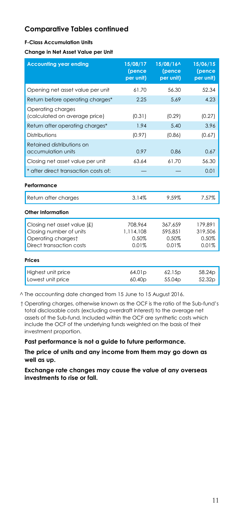#### **F-Class Accumulation Units**

**Change in Net Asset Value per Unit**

| <b>Accounting year ending</b>                                                                            | 15/08/17<br>(pence<br>per unit)          | 15/08/16^<br>(pence<br>per unit)     | 15/06/15<br>(pence<br>per unit)      |
|----------------------------------------------------------------------------------------------------------|------------------------------------------|--------------------------------------|--------------------------------------|
| Opening net asset value per unit                                                                         | 61.70                                    | 56.30                                | 52.34                                |
| Return before operating charges*                                                                         | 2.25                                     | 5.69                                 | 4.23                                 |
| Operating charges<br>(calculated on average price)                                                       | (0.31)                                   | (0.29)                               | (0.27)                               |
| Return after operating charges*                                                                          | 1.94                                     | 5.40                                 | 3.96                                 |
| Distributions                                                                                            | (0.97)                                   | (0.86)                               | (0.67)                               |
| Retained distributions on<br>accumulation units                                                          | 0.97                                     | 0.86                                 | 0.67                                 |
| Closing net asset value per unit                                                                         | 63.64                                    | 61.70                                | 56.30                                |
| * after direct transaction costs of:                                                                     |                                          |                                      | 0.01                                 |
| Performance                                                                                              |                                          |                                      |                                      |
| Return after charges                                                                                     | 3.14%                                    | 9.59%                                | 7.57%                                |
| Other Information                                                                                        |                                          |                                      |                                      |
| Closing net asset value (£)<br>Closing number of units<br>Operating chargest<br>Direct transaction costs | 708.964<br>1.114.108<br>0.50%<br>0.01%   | 367.659<br>595.851<br>0.50%<br>0.01% | 179.891<br>319,506<br>0.50%<br>0.01% |
| Prices                                                                                                   |                                          |                                      |                                      |
| Highest unit price<br>Lowest unit price                                                                  | 64.01 <sub>p</sub><br>60.40 <sub>p</sub> | 62.15p<br>55.04 <sub>p</sub>         | 58.24p<br>52.32p                     |

^ The accounting date changed from 15 June to 15 August 2016.

† Operating charges, otherwise known as the OCF is the ratio of the Sub-fund's total disclosable costs (excluding overdraft interest) to the average net assets of the Sub-fund. Included within the OCF are synthetic costs which include the OCF of the underlying funds weighted on the basis of their investment proportion.

**Past performance is not a guide to future performance.**

**The price of units and any income from them may go down as well as up.**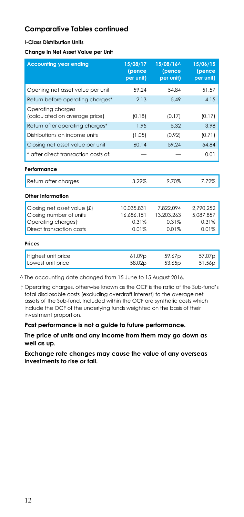#### **I-Class Distribution Units**

**Change in Net Asset Value per Unit**

| <b>Accounting year ending</b>                          | 15/08/17<br>(pence<br>per unit) | 15/08/16^<br>(pence<br>per unit) | 15/06/15<br>(pence<br>per unit) |
|--------------------------------------------------------|---------------------------------|----------------------------------|---------------------------------|
| Opening net asset value per unit                       | 59.24                           | 54.84                            | 51.57                           |
| Return before operating charges*                       | 2.13                            | 5.49                             | 4.15                            |
| Operating charges<br>(calculated on average price)     | (0.18)                          | (0.17)                           | (0.17)                          |
| Return after operating charges*                        | 1.95                            | 5.32                             | 3.98                            |
| Distributions on income units                          | (1.05)                          | (0.92)                           | (0.71)                          |
| Closing net asset value per unit                       | 60.14                           | 59.24                            | 54.84                           |
| * after direct transaction costs of:                   |                                 |                                  | 0.01                            |
| Performance                                            |                                 |                                  |                                 |
| Return after charges                                   | 3.29%                           | 9.70%                            | 7.72%                           |
| Other Information                                      |                                 |                                  |                                 |
| Closing net asset value (£)<br>Closing number of units | 10.035.831<br>16,686,151        | 7.822.094<br>13,203,263<br>0.31% | 2.790.252<br>5,087,857          |
| Operating chargest<br>Direct transaction costs         | 0.31%<br>0.01%                  | 0.01%                            | 0.31%<br>0.01%                  |
| Prices                                                 |                                 |                                  |                                 |
| Highest unit price<br>Lowest unit price                | 61.09p<br>58.02p                | 59.67p<br>53.65p                 | 57.07p<br>51.56p                |

^ The accounting date changed from 15 June to 15 August 2016.

† Operating charges, otherwise known as the OCF is the ratio of the Sub-fund's total disclosable costs (excluding overdraft interest) to the average net assets of the Sub-fund. Included within the OCF are synthetic costs which include the OCF of the underlying funds weighted on the basis of their investment proportion.

**Past performance is not a guide to future performance.**

**The price of units and any income from them may go down as well as up.**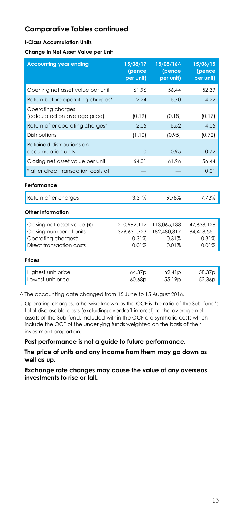#### **I-Class Accumulation Units**

**Change in Net Asset Value per Unit**

| <b>Accounting year ending</b>                                                                            | 15/08/17<br>(pence<br>per unit)              | 15/08/16^<br>(pence<br>per unit)             | 15/06/15<br>(pence<br>per unit)            |
|----------------------------------------------------------------------------------------------------------|----------------------------------------------|----------------------------------------------|--------------------------------------------|
| Opening net asset value per unit                                                                         | 61.96                                        | 56.44                                        | 52.39                                      |
| Return before operating charges*                                                                         | 2.24                                         | 5.70                                         | 4.22                                       |
| Operating charges<br>(calculated on average price)                                                       | (0.19)                                       | (0.18)                                       | (0.17)                                     |
| Return after operating charges*                                                                          | 2.05                                         | 5.52                                         | 4.05                                       |
| Distributions                                                                                            | (1.10)                                       | (0.95)                                       | (0.72)                                     |
| Retained distributions on<br>accumulation units                                                          | 1.10                                         | 0.95                                         | 0.72                                       |
| Closing net asset value per unit                                                                         | 64.01                                        | 61.96                                        | 56.44                                      |
| * after direct transaction costs of:                                                                     |                                              |                                              | 0.01                                       |
| Performance                                                                                              |                                              |                                              |                                            |
| Return after charges                                                                                     | 3.31%                                        | 9.78%                                        | 7.73%                                      |
| Other Information                                                                                        |                                              |                                              |                                            |
| Closing net asset value (£)<br>Closing number of units<br>Operating chargest<br>Direct transaction costs | 210,992,112<br>329.631.723<br>0.31%<br>0.01% | 113,065,138<br>182.480.817<br>0.31%<br>0.01% | 47,638,128<br>84,408,551<br>0.31%<br>0.01% |
| Prices                                                                                                   |                                              |                                              |                                            |
| Highest unit price<br>Lowest unit price                                                                  | 64.37p<br>60.68p                             | 62.41p<br>55.19 <sub>p</sub>                 | 58.37p<br>52.36p                           |

^ The accounting date changed from 15 June to 15 August 2016.

† Operating charges, otherwise known as the OCF is the ratio of the Sub-fund's total disclosable costs (excluding overdraft interest) to the average net assets of the Sub-fund. Included within the OCF are synthetic costs which include the OCF of the underlying funds weighted on the basis of their investment proportion.

**Past performance is not a guide to future performance.**

**The price of units and any income from them may go down as well as up.**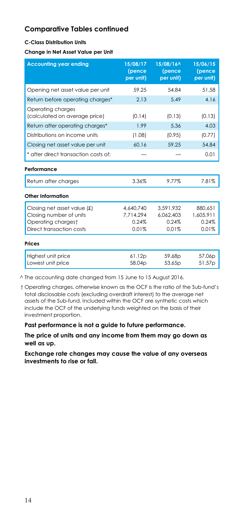#### **C-Class Distribution Units**

**Change in Net Asset Value per Unit**

| <b>Accounting year ending</b>                      | 15/08/17<br>(pence<br>per unit) | 15/08/16^<br>(pence<br>per unit) | 15/06/15<br>(pence<br>per unit) |
|----------------------------------------------------|---------------------------------|----------------------------------|---------------------------------|
| Opening net asset value per unit                   | 59.25                           | 54.84                            | 51.58                           |
| Return before operating charges*                   | 2.13                            | 5.49                             | 4.16                            |
| Operating charges<br>(calculated on average price) | (0.14)                          | (0.13)                           | (0.13)                          |
| Return after operating charges*                    | 1.99                            | 5.36                             | 4.03                            |
| Distributions on income units                      | (1.08)                          | (0.95)                           | (0.77)                          |
| Closing net asset value per unit                   | 60.16                           | 59.25                            | 54.84                           |
| * after direct transaction costs of:               |                                 |                                  | 0.01                            |
| Performance                                        |                                 |                                  |                                 |
| Return after charges                               | 3.36%                           | 9.77%                            | 7.81%                           |
| Other Information                                  |                                 |                                  |                                 |
| Closing net asset value (£)                        | 4,640,740                       | 3.591.932                        | 880.651                         |
| Closing number of units                            | 7.714.294                       | 6.062.403                        | 1,605.911                       |
| Operating chargest                                 | 0.24%                           | 0.24%                            | 0.24%                           |
| Direct transaction costs                           | 0.01%                           | 0.01%                            | 0.01%                           |
| Prices                                             |                                 |                                  |                                 |
| Highest unit price                                 | 61.12p                          | 59.68p                           | 57.06p                          |
| Lowest unit price                                  | 58.04 <sub>p</sub>              | 53.65p                           | 51.57p                          |

^ The accounting date changed from 15 June to 15 August 2016.

† Operating charges, otherwise known as the OCF is the ratio of the Sub-fund's total disclosable costs (excluding overdraft interest) to the average net assets of the Sub-fund. Included within the OCF are synthetic costs which include the OCF of the underlying funds weighted on the basis of their investment proportion.

**Past performance is not a guide to future performance.**

**The price of units and any income from them may go down as well as up.**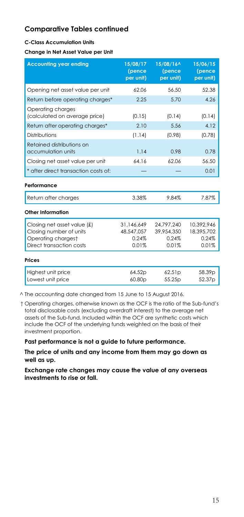#### **C-Class Accumulation Units**

**Change in Net Asset Value per Unit**

| <b>Accounting year ending</b>                                                                            | 15/08/17<br>(pence<br>per unit)            | 15/08/16^<br>(pence<br>per unit)           | 15/06/15<br>(pence<br>per unit)            |
|----------------------------------------------------------------------------------------------------------|--------------------------------------------|--------------------------------------------|--------------------------------------------|
| Opening net asset value per unit                                                                         | 62.06                                      | 56.50                                      | 52.38                                      |
| Return before operating charges*                                                                         | 2.25                                       | 5.70                                       | 4.26                                       |
| Operating charges<br>(calculated on average price)                                                       | (0.15)                                     | (0.14)                                     | (0.14)                                     |
| Return after operating charges*                                                                          | 2.10                                       | 5.56                                       | 4.12                                       |
| Distributions                                                                                            | (1.14)                                     | (0.98)                                     | (0.78)                                     |
| Retained distributions on<br>accumulation units                                                          | 1.14                                       | 0.98                                       | 0.78                                       |
| Closing net asset value per unit                                                                         | 64.16                                      | 62.06                                      | 56.50                                      |
| * after direct transaction costs of:                                                                     |                                            |                                            | 0.01                                       |
| Performance                                                                                              |                                            |                                            |                                            |
| Return after charges                                                                                     | 3.38%                                      | 9.84%                                      | 7.87%                                      |
| Other Information                                                                                        |                                            |                                            |                                            |
| Closing net asset value (£)<br>Closing number of units<br>Operating chargest<br>Direct transaction costs | 31,146,649<br>48,547,057<br>0.24%<br>0.01% | 24,797,240<br>39.954.350<br>0.24%<br>0.01% | 10,392,946<br>18.395.702<br>0.24%<br>0.01% |
| Prices                                                                                                   |                                            |                                            |                                            |
| Highest unit price<br>Lowest unit price                                                                  | 64.52p<br>60.80p                           | 62.51p<br>55.25 <sub>p</sub>               | 58.39 <sub>p</sub><br>52.37 <sub>p</sub>   |

^ The accounting date changed from 15 June to 15 August 2016.

† Operating charges, otherwise known as the OCF is the ratio of the Sub-fund's total disclosable costs (excluding overdraft interest) to the average net assets of the Sub-fund. Included within the OCF are synthetic costs which include the OCF of the underlying funds weighted on the basis of their investment proportion.

**Past performance is not a guide to future performance.**

**The price of units and any income from them may go down as well as up.**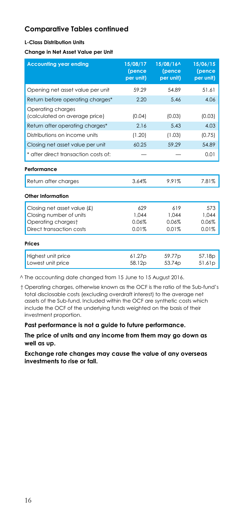#### **L-Class Distribution Units**

**Change in Net Asset Value per Unit**

| <b>Accounting year ending</b>                      | 15/08/17<br>(pence<br>per unit) | 15/08/16^<br>(pence<br>per unit) | 15/06/15<br>(pence<br>per unit) |
|----------------------------------------------------|---------------------------------|----------------------------------|---------------------------------|
| Opening net asset value per unit                   | 59.29                           | 54.89                            | 51.61                           |
| Return before operating charges*                   | 2.20                            | 5.46                             | 4.06                            |
| Operating charges<br>(calculated on average price) | (0.04)                          | (0.03)                           | (0.03)                          |
| Return after operating charges*                    | 2.16                            | 5.43                             | 4.03                            |
| Distributions on income units                      | (1.20)                          | (1.03)                           | (0.75)                          |
| Closing net asset value per unit                   | 60.25                           | 59.29                            | 54.89                           |
| * after direct transaction costs of:               |                                 |                                  | 0.01                            |
| Performance                                        |                                 |                                  |                                 |
| Return after charges                               | 3.64%                           | 9.91%                            | 7.81%                           |
| Other Information                                  |                                 |                                  |                                 |
| Closing net asset value (£)                        | 629                             | 619                              | 573                             |
| Closing number of units                            | 1.044                           | 1.044                            | 1.044                           |
| Operating chargest                                 | 0.06%                           | 0.06%                            | 0.06%                           |
| Direct transaction costs                           | 0.01%                           | 0.01%                            | 0.01%                           |
| Prices                                             |                                 |                                  |                                 |
| Highest unit price<br>Lowest unit price            | 61.27p<br>58.12p                | 59.77p<br>53.74p                 | 57.18p<br>51.61p                |

^ The accounting date changed from 15 June to 15 August 2016.

† Operating charges, otherwise known as the OCF is the ratio of the Sub-fund's total disclosable costs (excluding overdraft interest) to the average net assets of the Sub-fund. Included within the OCF are synthetic costs which include the OCF of the underlying funds weighted on the basis of their investment proportion.

**Past performance is not a guide to future performance.**

**The price of units and any income from them may go down as well as up.**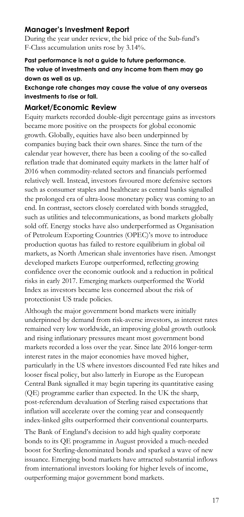### **Manager's Investment Report**

During the year under review, the bid price of the Sub-fund's F-Class accumulation units rose by 3.14%.

#### **Past performance is not a guide to future performance. The value of investments and any income from them may go down as well as up.**

#### **Exchange rate changes may cause the value of any overseas investments to rise or fall.**

#### **Market/Economic Review**

Equity markets recorded double-digit percentage gains as investors became more positive on the prospects for global economic growth. Globally, equities have also been underpinned by companies buying back their own shares. Since the turn of the calendar year however, there has been a cooling of the so-called reflation trade that dominated equity markets in the latter half of 2016 when commodity-related sectors and financials performed relatively well. Instead, investors favoured more defensive sectors such as consumer staples and healthcare as central banks signalled the prolonged era of ultra-loose monetary policy was coming to an end. In contrast, sectors closely correlated with bonds struggled, such as utilities and telecommunications, as bond markets globally sold off. Energy stocks have also underperformed as Organisation of Petroleum Exporting Countries (OPEC)'s move to introduce production quotas has failed to restore equilibrium in global oil markets, as North American shale inventories have risen. Amongst developed markets Europe outperformed, reflecting growing confidence over the economic outlook and a reduction in political risks in early 2017. Emerging markets outperformed the World Index as investors became less concerned about the risk of protectionist US trade policies.

Although the major government bond markets were initially underpinned by demand from risk-averse investors, as interest rates remained very low worldwide, an improving global growth outlook and rising inflationary pressures meant most government bond markets recorded a loss over the year. Since late 2016 longer-term interest rates in the major economies have moved higher, particularly in the US where investors discounted Fed rate hikes and looser fiscal policy, but also latterly in Europe as the European Central Bank signalled it may begin tapering its quantitative easing (QE) programme earlier than expected. In the UK the sharp, post-referendum devaluation of Sterling raised expectations that inflation will accelerate over the coming year and consequently index-linked gilts outperformed their conventional counterparts.

The Bank of England's decision to add high quality corporate bonds to its QE programme in August provided a much-needed boost for Sterling-denominated bonds and sparked a wave of new issuance. Emerging bond markets have attracted substantial inflows from international investors looking for higher levels of income, outperforming major government bond markets.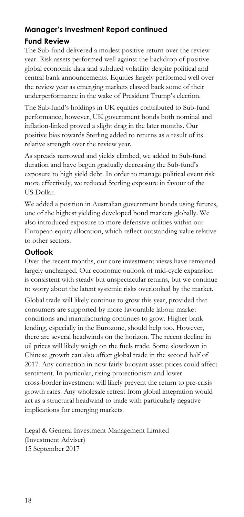# **Manager's Investment Report continued**

# **Fund Review**

The Sub-fund delivered a modest positive return over the review year. Risk assets performed well against the backdrop of positive global economic data and subdued volatility despite political and central bank announcements. Equities largely performed well over the review year as emerging markets clawed back some of their underperformance in the wake of President Trump's election.

The Sub-fund's holdings in UK equities contributed to Sub-fund performance; however, UK government bonds both nominal and inflation-linked proved a slight drag in the later months. Our positive bias towards Sterling added to returns as a result of its relative strength over the review year.

As spreads narrowed and yields climbed, we added to Sub-fund duration and have begun gradually decreasing the Sub-fund's exposure to high yield debt. In order to manage political event risk more effectively, we reduced Sterling exposure in favour of the US Dollar.

We added a position in Australian government bonds using futures, one of the highest yielding developed bond markets globally. We also introduced exposure to more defensive utilities within our European equity allocation, which reflect outstanding value relative to other sectors.

### **Outlook**

Over the recent months, our core investment views have remained largely unchanged. Our economic outlook of mid-cycle expansion is consistent with steady but unspectacular returns, but we continue to worry about the latent systemic risks overlooked by the market.

Global trade will likely continue to grow this year, provided that consumers are supported by more favourable labour market conditions and manufacturing continues to grow. Higher bank lending, especially in the Eurozone, should help too. However, there are several headwinds on the horizon. The recent decline in oil prices will likely weigh on the fuels trade. Some slowdown in Chinese growth can also affect global trade in the second half of 2017. Any correction in now fairly buoyant asset prices could affect sentiment. In particular, rising protectionism and lower cross-border investment will likely prevent the return to pre-crisis growth rates. Any wholesale retreat from global integration would act as a structural headwind to trade with particularly negative implications for emerging markets.

Legal & General Investment Management Limited (Investment Adviser) 15 September 2017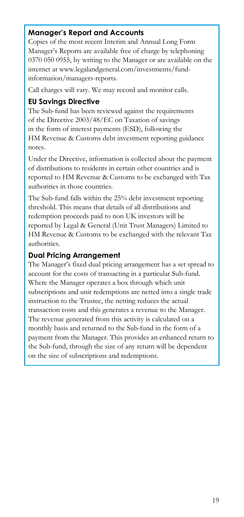# **Manager's Report and Accounts**

Copies of the most recent Interim and Annual Long Form Manager's Reports are available free of charge by telephoning 0370 050 0955, by writing to the Manager or are available on the internet at www.legalandgeneral.com/investments/fundinformation/managers-reports.

Call charges will vary. We may record and monitor calls.

### **EU Savings Directive**

The Sub-fund has been reviewed against the requirements of the Directive 2003/48/EC on Taxation of savings in the form of interest payments (ESD), following the HM Revenue & Customs debt investment reporting guidance notes.

Under the Directive, information is collected about the payment of distributions to residents in certain other countries and is reported to HM Revenue & Customs to be exchanged with Tax authorities in those countries.

The Sub-fund falls within the 25% debt investment reporting threshold. This means that details of all distributions and redemption proceeds paid to non UK investors will be reported by Legal & General (Unit Trust Managers) Limited to HM Revenue & Customs to be exchanged with the relevant Tax authorities.

### **Dual Pricing Arrangement**

The Manager's fixed dual pricing arrangement has a set spread to account for the costs of transacting in a particular Sub-fund. Where the Manager operates a box through which unit subscriptions and unit redemptions are netted into a single trade instruction to the Trustee, the netting reduces the actual transaction costs and this generates a revenue to the Manager. The revenue generated from this activity is calculated on a monthly basis and returned to the Sub-fund in the form of a payment from the Manager. This provides an enhanced return to the Sub-fund, through the size of any return will be dependent on the size of subscriptions and redemptions.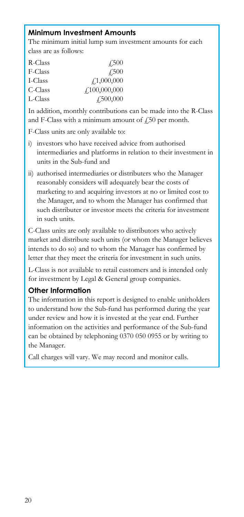# **Minimum Investment Amounts**

The minimum initial lump sum investment amounts for each class are as follows:

| R-Class | 4.500                          |
|---------|--------------------------------|
| F-Class | $\sqrt{500}$                   |
| I-Class | $\textcolor{red}{f_1,000,000}$ |
| C-Class | f100,000,000                   |
| L-Class | $\sqrt{.500,000}$              |

In addition, monthly contributions can be made into the R-Class and F-Class with a minimum amount of  $f<sub>1</sub>50$  per month.

F-Class units are only available to:

- i) investors who have received advice from authorised intermediaries and platforms in relation to their investment in units in the Sub-fund and
- ii) authorised intermediaries or distributers who the Manager reasonably considers will adequately bear the costs of marketing to and acquiring investors at no or limited cost to the Manager, and to whom the Manager has confirmed that such distributer or investor meets the criteria for investment in such units.

C-Class units are only available to distributors who actively market and distribute such units (or whom the Manager believes intends to do so) and to whom the Manager has confirmed by letter that they meet the criteria for investment in such units.

L-Class is not available to retail customers and is intended only for investment by Legal & General group companies.

#### **Other Information**

The information in this report is designed to enable unitholders to understand how the Sub-fund has performed during the year under review and how it is invested at the year end. Further information on the activities and performance of the Sub-fund can be obtained by telephoning 0370 050 0955 or by writing to the Manager.

Call charges will vary. We may record and monitor calls.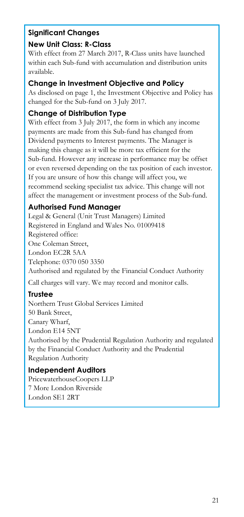# **Significant Changes**

# **New Unit Class: R-Class**

With effect from 27 March 2017, R-Class units have launched within each Sub-fund with accumulation and distribution units available.

# **Change in Investment Objective and Policy**

As disclosed on page 1, the Investment Objective and Policy has changed for the Sub-fund on 3 July 2017.

# **Change of Distribution Type**

With effect from 3 July 2017, the form in which any income payments are made from this Sub-fund has changed from Dividend payments to Interest payments. The Manager is making this change as it will be more tax efficient for the Sub-fund. However any increase in performance may be offset or even reversed depending on the tax position of each investor. If you are unsure of how this change will affect you, we recommend seeking specialist tax advice. This change will not affect the management or investment process of the Sub-fund.

# **Authorised Fund Manager**

Legal & General (Unit Trust Managers) Limited Registered in England and Wales No. 01009418 Registered office: One Coleman Street, London EC2R 5AA Telephone: 0370 050 3350 Authorised and regulated by the Financial Conduct Authority

Call charges will vary. We may record and monitor calls.

# **Trustee**

Northern Trust Global Services Limited 50 Bank Street, Canary Wharf, London E14 5NT Authorised by the Prudential Regulation Authority and regulated by the Financial Conduct Authority and the Prudential Regulation Authority

# **Independent Auditors**

PricewaterhouseCoopers LLP 7 More London Riverside London SE1 2RT